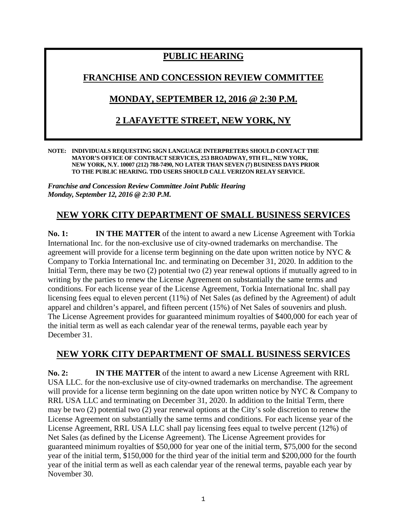# **PUBLIC HEARING**

#### **FRANCHISE AND CONCESSION REVIEW COMMITTEE**

### **MONDAY, SEPTEMBER 12, 2016 @ 2:30 P.M.**

# **2 LAFAYETTE STREET, NEW YORK, NY**

**NOTE: INDIVIDUALS REQUESTING SIGN LANGUAGE INTERPRETERS SHOULD CONTACT THE MAYOR'S OFFICE OF CONTRACT SERVICES, 253 BROADWAY, 9TH FL., NEW YORK, NEW YORK, N.Y. 10007 (212) 788-7490, NO LATER THAN SEVEN (7) BUSINESS DAYS PRIOR TO THE PUBLIC HEARING. TDD USERS SHOULD CALL VERIZON RELAY SERVICE.**

*Franchise and Concession Review Committee Joint Public Hearing Monday, September 12, 2016 @ 2:30 P.M.*

## **NEW YORK CITY DEPARTMENT OF SMALL BUSINESS SERVICES**

**No. 1: IN THE MATTER** of the intent to award a new License Agreement with Torkia International Inc. for the non-exclusive use of city-owned trademarks on merchandise. The agreement will provide for a license term beginning on the date upon written notice by NYC & Company to Torkia International Inc. and terminating on December 31, 2020. In addition to the Initial Term, there may be two (2) potential two (2) year renewal options if mutually agreed to in writing by the parties to renew the License Agreement on substantially the same terms and conditions. For each license year of the License Agreement, Torkia International Inc. shall pay licensing fees equal to eleven percent (11%) of Net Sales (as defined by the Agreement) of adult apparel and children's apparel, and fifteen percent (15%) of Net Sales of souvenirs and plush. The License Agreement provides for guaranteed minimum royalties of \$400,000 for each year of the initial term as well as each calendar year of the renewal terms, payable each year by December 31.

### **NEW YORK CITY DEPARTMENT OF SMALL BUSINESS SERVICES**

**No. 2: IN THE MATTER** of the intent to award a new License Agreement with RRL USA LLC. for the non-exclusive use of city-owned trademarks on merchandise. The agreement will provide for a license term beginning on the date upon written notice by NYC & Company to RRL USA LLC and terminating on December 31, 2020. In addition to the Initial Term, there may be two (2) potential two (2) year renewal options at the City's sole discretion to renew the License Agreement on substantially the same terms and conditions. For each license year of the License Agreement, RRL USA LLC shall pay licensing fees equal to twelve percent (12%) of Net Sales (as defined by the License Agreement). The License Agreement provides for guaranteed minimum royalties of \$50,000 for year one of the initial term, \$75,000 for the second year of the initial term, \$150,000 for the third year of the initial term and \$200,000 for the fourth year of the initial term as well as each calendar year of the renewal terms, payable each year by November 30.